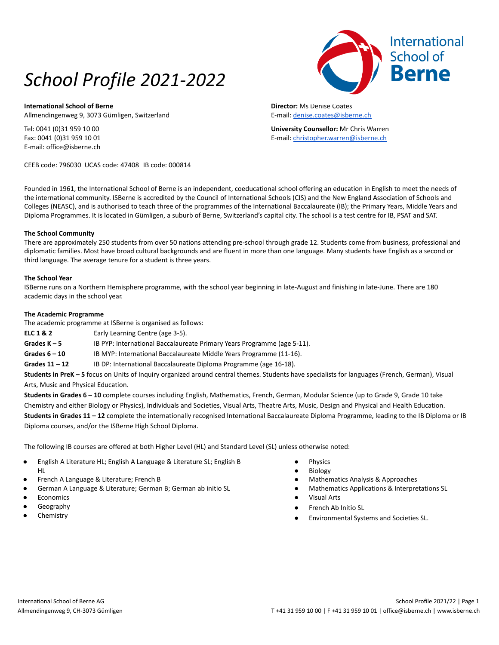# *School Profile 2021-2022*

**International School of Berne** Allmendingenweg 9, 3073 Gümligen, Switzerland

Tel: 0041 (0)31 959 10 00 Fax: 0041 (0)31 959 10 01 E-mail: office@isberne.ch

CEEB code: 796030 UCAS code: 47408 IB code: 000814

**Director:** Ms Denise Coates E-mail: [denise.coates@isberne.ch](mailto:denise.coates@isberne.ch)

**University Counsellor:** Mr Chris Warren E-mail: [christopher.warren@isberne.ch](mailto:christopher.warren@isberne.ch)

Founded in 1961, the International School of Berne is an independent, coeducational school offering an education in English to meet the needs of the international community. ISBerne is accredited by the Council of International Schools (CIS) and the New England Association of Schools and Colleges (NEASC), and is authorised to teach three of the programmes of the International Baccalaureate (IB); the Primary Years, Middle Years and Diploma Programmes. It is located in Gümligen, a suburb of Berne, Switzerland's capital city. The school is a test centre for IB, PSAT and SAT.

## **The School Community**

There are approximately 250 students from over 50 nations attending pre-school through grade 12. Students come from business, professional and diplomatic families. Most have broad cultural backgrounds and are fluent in more than one language. Many students have English as a second or third language. The average tenure for a student is three years.

## **The School Year**

ISBerne runs on a Northern Hemisphere programme, with the school year beginning in late-August and finishing in late-June. There are 180 academic days in the school year.

## **The Academic Programme**

The academic programme at ISBerne is organised as follows:

**ELC 1 & 2** Early Learning Centre (age 3-5).

**Grades K – 5** IB PYP: International Baccalaureate Primary Years Programme (age 5-11).

Grades 6 - 10 **IB MYP:** International Baccalaureate Middle Years Programme (11-16).

Grades 11 – 12 **IB DP: International Baccalaureate Diploma Programme (age 16-18).** 

**Students in PreK – 5** focus on Units of Inquiry organized around central themes. Students have specialists for languages (French, German), Visual Arts, Music and Physical Education.

**Students in Grades 6 – 10** complete courses including English, Mathematics, French, German, Modular Science (up to Grade 9, Grade 10 take Chemistry and either Biology or Physics), Individuals and Societies, Visual Arts, Theatre Arts, Music, Design and Physical and Health Education. **Students in Grades 11 – 12** complete the internationally recognised International Baccalaureate Diploma Programme, leading to the IB Diploma or IB Diploma courses, and/or the ISBerne High School Diploma.

The following IB courses are offered at both Higher Level (HL) and Standard Level (SL) unless otherwise noted:

- English A Literature HL; English A Language & Literature SL; English B HL
- French A Language & Literature; French B
- German A Language & Literature; German B; German ab initio SL
- **Economics**
- Geography
- Chemistry
- **Physics**
- **Biology**
- Mathematics Analysis & Approaches
- Mathematics Applications & Interpretations SL
- Visual Arts
- French Ab Initio SL
- Environmental Systems and Societies SL.